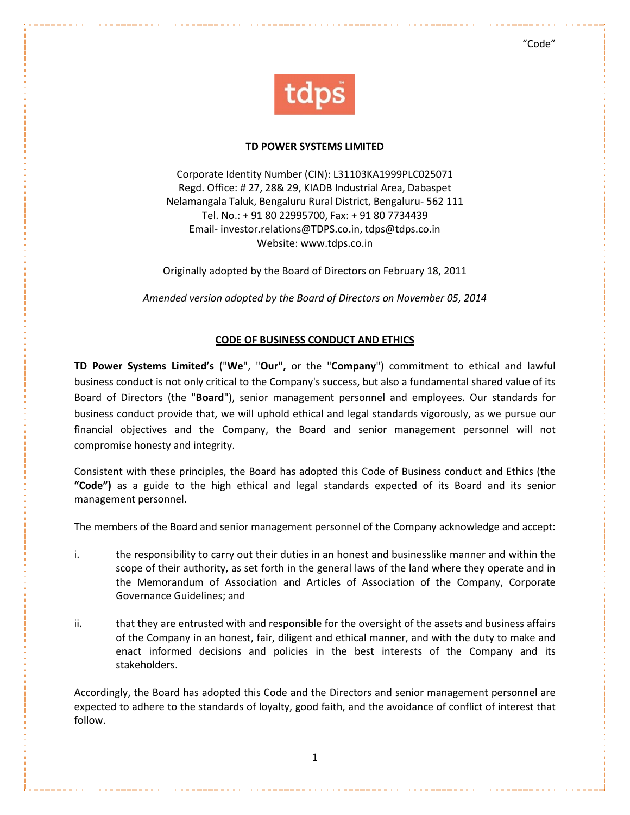

#### TD POWER SYSTEMS LIMITED

Corporate Identity Number (CIN): L31103KA1999PLC025071 Regd. Office: # 27, 28& 29, KIADB Industrial Area, Dabaspet Nelamangala Taluk, Bengaluru Rural District, Bengaluru- 562 111 Tel. No.: + 91 80 22995700, Fax: + 91 80 7734439 Email- investor.relations@TDPS.co.in, tdps@tdps.co.in Website: www.tdps.co.in

Originally adopted by the Board of Directors on February 18, 2011

Amended version adopted by the Board of Directors on November 05, 2014

### CODE OF BUSINESS CONDUCT AND ETHICS

TD Power Systems Limited's ("We", "Our", or the "Company") commitment to ethical and lawful business conduct is not only critical to the Company's success, but also a fundamental shared value of its Board of Directors (the "Board"), senior management personnel and employees. Our standards for business conduct provide that, we will uphold ethical and legal standards vigorously, as we pursue our financial objectives and the Company, the Board and senior management personnel will not compromise honesty and integrity.

Consistent with these principles, the Board has adopted this Code of Business conduct and Ethics (the "Code") as a guide to the high ethical and legal standards expected of its Board and its senior management personnel.

The members of the Board and senior management personnel of the Company acknowledge and accept:

- i. the responsibility to carry out their duties in an honest and businesslike manner and within the scope of their authority, as set forth in the general laws of the land where they operate and in the Memorandum of Association and Articles of Association of the Company, Corporate Governance Guidelines; and
- ii. that they are entrusted with and responsible for the oversight of the assets and business affairs of the Company in an honest, fair, diligent and ethical manner, and with the duty to make and enact informed decisions and policies in the best interests of the Company and its stakeholders.

Accordingly, the Board has adopted this Code and the Directors and senior management personnel are expected to adhere to the standards of loyalty, good faith, and the avoidance of conflict of interest that follow.

1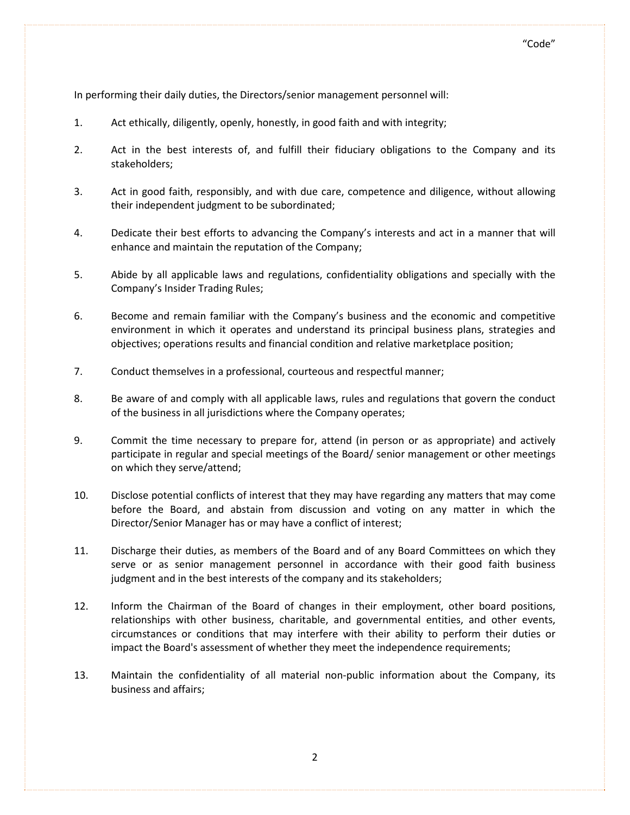In performing their daily duties, the Directors/senior management personnel will:

- 1. Act ethically, diligently, openly, honestly, in good faith and with integrity;
- 2. Act in the best interests of, and fulfill their fiduciary obligations to the Company and its stakeholders;
- 3. Act in good faith, responsibly, and with due care, competence and diligence, without allowing their independent judgment to be subordinated;
- 4. Dedicate their best efforts to advancing the Company's interests and act in a manner that will enhance and maintain the reputation of the Company;
- 5. Abide by all applicable laws and regulations, confidentiality obligations and specially with the Company's Insider Trading Rules;
- 6. Become and remain familiar with the Company's business and the economic and competitive environment in which it operates and understand its principal business plans, strategies and objectives; operations results and financial condition and relative marketplace position;
- 7. Conduct themselves in a professional, courteous and respectful manner;
- 8. Be aware of and comply with all applicable laws, rules and regulations that govern the conduct of the business in all jurisdictions where the Company operates;
- 9. Commit the time necessary to prepare for, attend (in person or as appropriate) and actively participate in regular and special meetings of the Board/ senior management or other meetings on which they serve/attend;
- 10. Disclose potential conflicts of interest that they may have regarding any matters that may come before the Board, and abstain from discussion and voting on any matter in which the Director/Senior Manager has or may have a conflict of interest;
- 11. Discharge their duties, as members of the Board and of any Board Committees on which they serve or as senior management personnel in accordance with their good faith business judgment and in the best interests of the company and its stakeholders;
- 12. Inform the Chairman of the Board of changes in their employment, other board positions, relationships with other business, charitable, and governmental entities, and other events, circumstances or conditions that may interfere with their ability to perform their duties or impact the Board's assessment of whether they meet the independence requirements;
- 13. Maintain the confidentiality of all material non-public information about the Company, its business and affairs;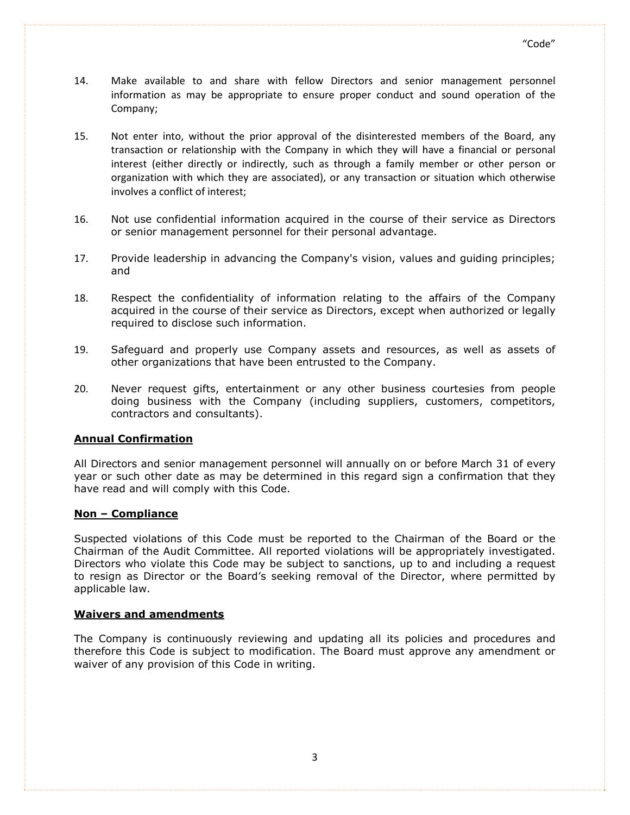- 14. Make available to and share with fellow Directors and senior management personnel information as may be appropriate to ensure proper conduct and sound operation of the Company;
- 15. Not enter into, without the prior approval of the disinterested members of the Board, any transaction or relationship with the Company in which they will have a financial or personal interest (either directly or indirectly, such as through a family member or other person or organization with which they are associated), or any transaction or situation which otherwise involves a conflict of interest;
- 16. Not use confidential information acquired in the course of their service as Directors or senior management personnel for their personal advantage.
- 17. Provide leadership in advancing the Company's vision, values and guiding principles; and
- 18. Respect the confidentiality of information relating to the affairs of the Company acquired in the course of their service as Directors, except when authorized or legally required to disclose such information.
- 19. Safeguard and properly use Company assets and resources, as well as assets of other organizations that have been entrusted to the Company.
- 20. Never request gifts, entertainment or any other business courtesies from people doing business with the Company (including suppliers, customers, competitors, contractors and consultants).

### Annual Confirmation

All Directors and senior management personnel will annually on or before March 31 of every year or such other date as may be determined in this regard sign a confirmation that they have read and will comply with this Code.

### Non – Compliance

Suspected violations of this Code must be reported to the Chairman of the Board or the Chairman of the Audit Committee. All reported violations will be appropriately investigated. Directors who violate this Code may be subject to sanctions, up to and including a request to resign as Director or the Board's seeking removal of the Director, where permitted by applicable law.

### Waivers and amendments

The Company is continuously reviewing and updating all its policies and procedures and therefore this Code is subject to modification. The Board must approve any amendment or waiver of any provision of this Code in writing.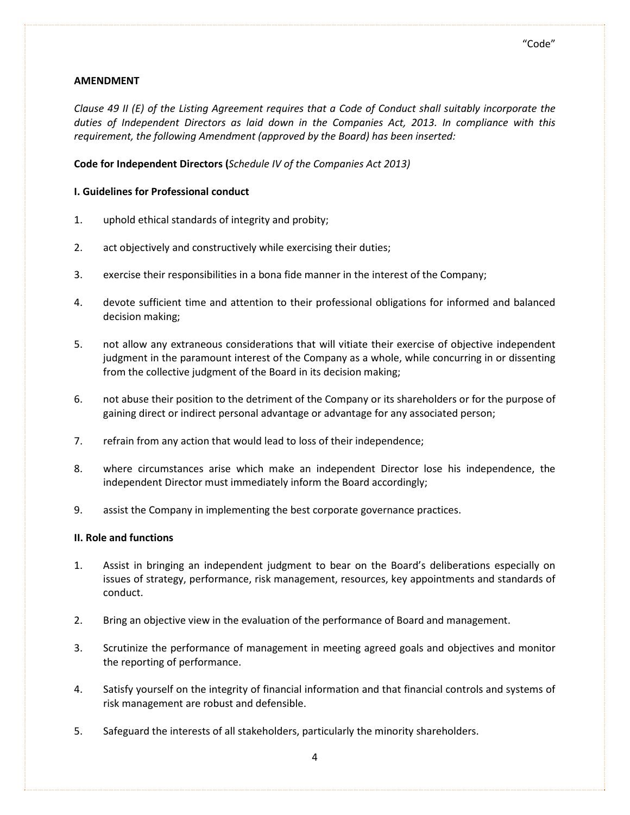### "Code"

# AMENDMENT

Clause 49 II (E) of the Listing Agreement requires that a Code of Conduct shall suitably incorporate the duties of Independent Directors as laid down in the Companies Act, 2013. In compliance with this requirement, the following Amendment (approved by the Board) has been inserted:

Code for Independent Directors (Schedule IV of the Companies Act 2013)

# I. Guidelines for Professional conduct

- 1. uphold ethical standards of integrity and probity;
- 2. act objectively and constructively while exercising their duties;
- 3. exercise their responsibilities in a bona fide manner in the interest of the Company;
- 4. devote sufficient time and attention to their professional obligations for informed and balanced decision making;
- 5. not allow any extraneous considerations that will vitiate their exercise of objective independent judgment in the paramount interest of the Company as a whole, while concurring in or dissenting from the collective judgment of the Board in its decision making;
- 6. not abuse their position to the detriment of the Company or its shareholders or for the purpose of gaining direct or indirect personal advantage or advantage for any associated person;
- 7. refrain from any action that would lead to loss of their independence;
- 8. where circumstances arise which make an independent Director lose his independence, the independent Director must immediately inform the Board accordingly;
- 9. assist the Company in implementing the best corporate governance practices.

# II. Role and functions

- 1. Assist in bringing an independent judgment to bear on the Board's deliberations especially on issues of strategy, performance, risk management, resources, key appointments and standards of conduct.
- 2. Bring an objective view in the evaluation of the performance of Board and management.
- 3. Scrutinize the performance of management in meeting agreed goals and objectives and monitor the reporting of performance.
- 4. Satisfy yourself on the integrity of financial information and that financial controls and systems of risk management are robust and defensible.
- 5. Safeguard the interests of all stakeholders, particularly the minority shareholders.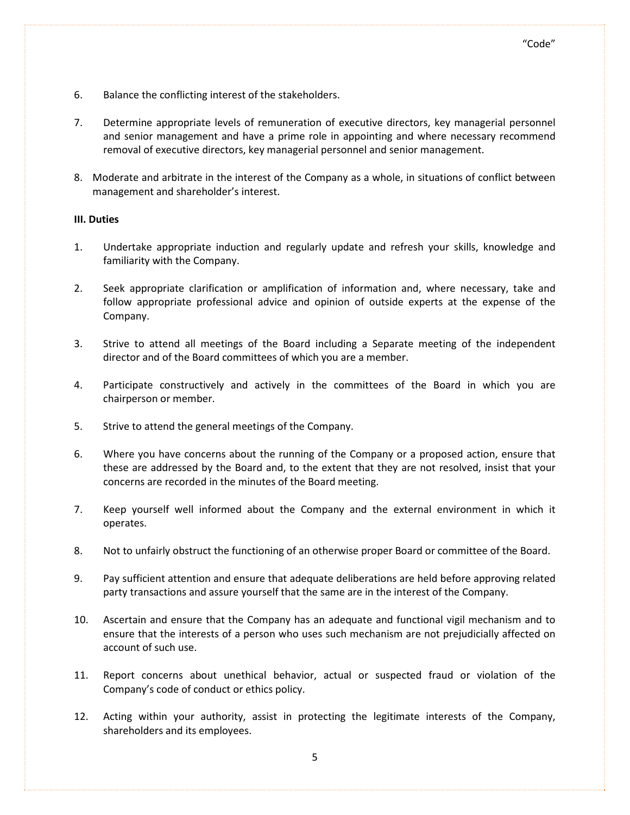- 6. Balance the conflicting interest of the stakeholders.
- 7. Determine appropriate levels of remuneration of executive directors, key managerial personnel and senior management and have a prime role in appointing and where necessary recommend removal of executive directors, key managerial personnel and senior management.
- 8. Moderate and arbitrate in the interest of the Company as a whole, in situations of conflict between management and shareholder's interest.

### III. Duties

- 1. Undertake appropriate induction and regularly update and refresh your skills, knowledge and familiarity with the Company.
- 2. Seek appropriate clarification or amplification of information and, where necessary, take and follow appropriate professional advice and opinion of outside experts at the expense of the Company.
- 3. Strive to attend all meetings of the Board including a Separate meeting of the independent director and of the Board committees of which you are a member.
- 4. Participate constructively and actively in the committees of the Board in which you are chairperson or member.
- 5. Strive to attend the general meetings of the Company.
- 6. Where you have concerns about the running of the Company or a proposed action, ensure that these are addressed by the Board and, to the extent that they are not resolved, insist that your concerns are recorded in the minutes of the Board meeting.
- 7. Keep yourself well informed about the Company and the external environment in which it operates.
- 8. Not to unfairly obstruct the functioning of an otherwise proper Board or committee of the Board.
- 9. Pay sufficient attention and ensure that adequate deliberations are held before approving related party transactions and assure yourself that the same are in the interest of the Company.
- 10. Ascertain and ensure that the Company has an adequate and functional vigil mechanism and to ensure that the interests of a person who uses such mechanism are not prejudicially affected on account of such use.
- 11. Report concerns about unethical behavior, actual or suspected fraud or violation of the Company's code of conduct or ethics policy.
- 12. Acting within your authority, assist in protecting the legitimate interests of the Company, shareholders and its employees.